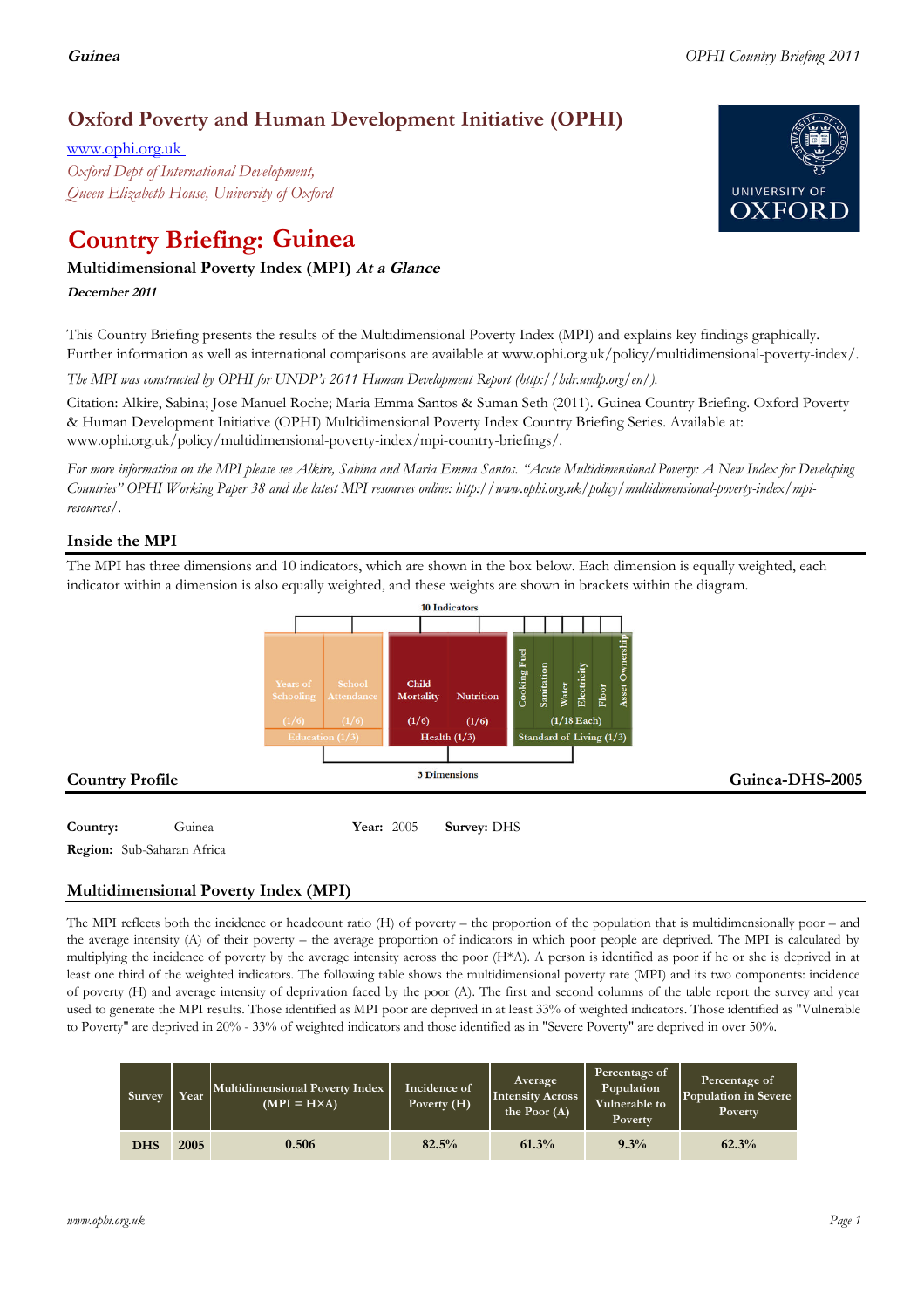# **Oxford Poverty and Human Development Initiative (OPHI)**

www.ophi.org.uk *Oxford Dept of International Development, Queen Elizabeth House, University of Oxford*

# **Country Briefing: Guinea**

# **Multidimensional Poverty Index (MPI) At <sup>a</sup> Glance**

**December <sup>2011</sup>**

This Country Briefing presents the results of the Multidimensional Poverty Index (MPI) and explains key findings graphically. Further information as well as international comparisons are available at www.ophi.org.uk/policy/multidimensional-poverty-index/.

*The MPI was constructed by OPHI for UNDP's 2011 Human Development Report (http://hdr.undp.org/en/).*

Citation: Alkire, Sabina; Jose Manuel Roche; Maria Emma Santos & Suman Seth (2011). Guinea Country Briefing. Oxford Poverty & Human Development Initiative (OPHI) Multidimensional Poverty Index Country Briefing Series. Available at: www.ophi.org.uk/policy/multidimensional-poverty-index/mpi-country-briefings/.

*For more information on the MPI please see Alkire, Sabina and Maria Emma Santos. "Acute Multidimensional Poverty: A New Index for Developing Countries" OPHI Working Paper 38 and the latest MPI resources online: http://www.ophi.org.uk/policy/multidimensional-poverty-index/mpiresources/.*

# **Inside the MPI**

The MPI has three dimensions and 10 indicators, which are shown in the box below. Each dimension is equally weighted, each indicator within a dimension is also equally weighted, and these weights are shown in brackets within the diagram.



**Region:** Sub-Saharan Africa

# **Multidimensional Poverty Index (MPI)**

The MPI reflects both the incidence or headcount ratio (H) of poverty – the proportion of the population that is multidimensionally poor – and the average intensity (A) of their poverty – the average proportion of indicators in which poor people are deprived. The MPI is calculated by multiplying the incidence of poverty by the average intensity across the poor (H\*A). A person is identified as poor if he or she is deprived in at least one third of the weighted indicators. The following table shows the multidimensional poverty rate (MPI) and its two components: incidence of poverty (H) and average intensity of deprivation faced by the poor (A). The first and second columns of the table report the survey and year used to generate the MPI results. Those identified as MPI poor are deprived in at least 33% of weighted indicators. Those identified as "Vulnerable to Poverty" are deprived in 20% - 33% of weighted indicators and those identified as in "Severe Poverty" are deprived in over 50%.

| Survey     | Year | Multidimensional Poverty Index<br>$(MPI = H \times A)$ | Incidence of<br>Poverty (H) | Average<br><b>Intensity Across</b><br>the Poor $(A)$ | Percentage of<br>Population<br>Vulnerable to<br><b>Poverty</b> | Percentage of<br>Population in Severe<br>Poverty |
|------------|------|--------------------------------------------------------|-----------------------------|------------------------------------------------------|----------------------------------------------------------------|--------------------------------------------------|
| <b>DHS</b> | 2005 | 0.506                                                  | 82.5%                       | 61.3%                                                | 9.3%                                                           | 62.3%                                            |

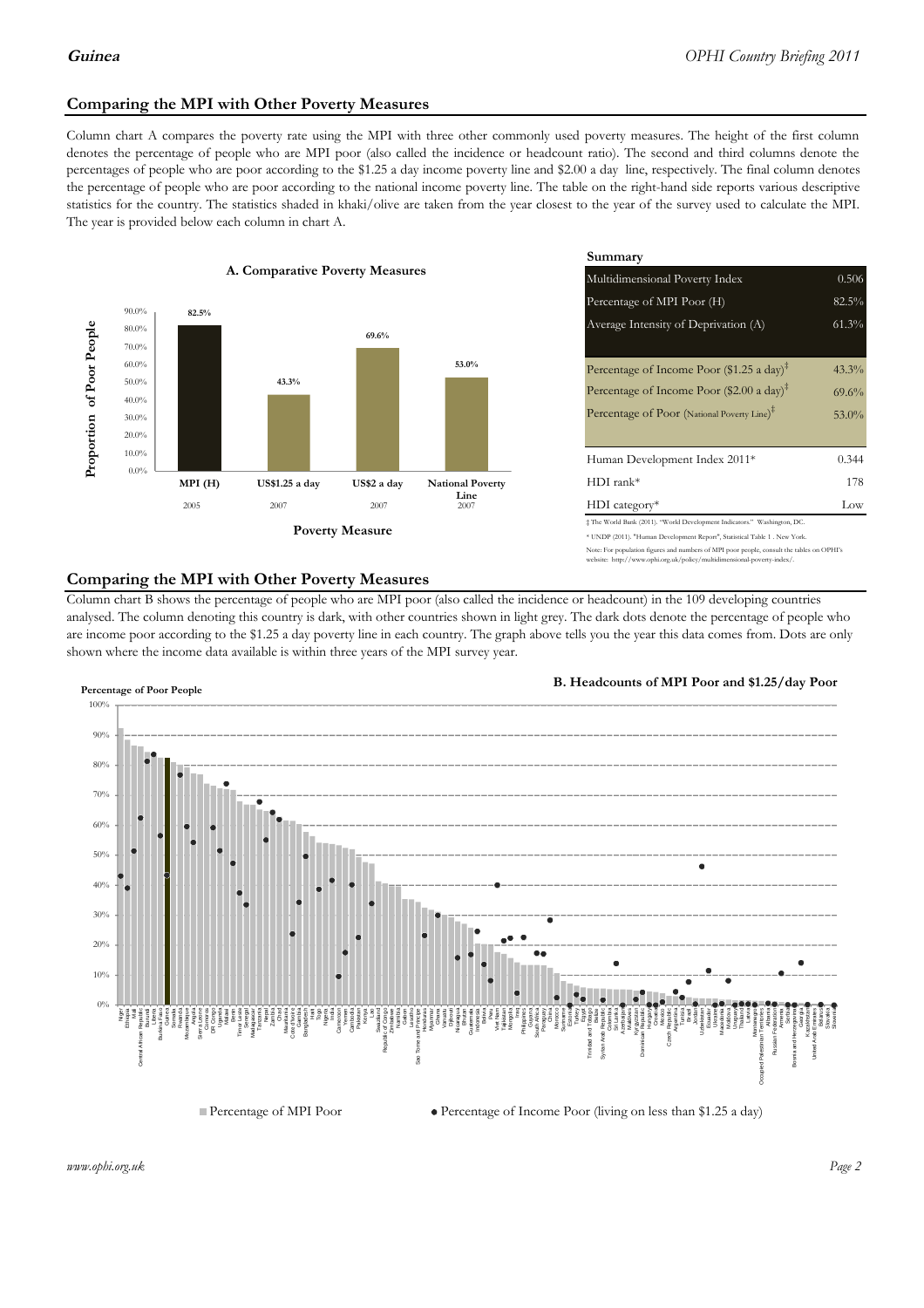# **Comparing the MPI with Other Poverty Measures**

Column chart A compares the poverty rate using the MPI with three other commonly used poverty measures. The height of the first column denotes the percentage of people who are MPI poor (also called the incidence or headcount ratio). The second and third columns denote the percentages of people who are poor according to the \$1.25 a day income poverty line and \$2.00 a day line, respectively. The final column denotes the percentage of people who are poor according to the national income poverty line. The table on the right-hand side reports various descriptive statistics for the country. The statistics shaded in khaki/olive are taken from the year closest to the year of the survey used to calculate the MPI. The year is provided below each column in chart A.



|                 |                         | Summary                                                                                                                                                |          |  |  |
|-----------------|-------------------------|--------------------------------------------------------------------------------------------------------------------------------------------------------|----------|--|--|
| erty Measures   |                         | 0.506<br>Multidimensional Poverty Index                                                                                                                |          |  |  |
|                 |                         | Percentage of MPI Poor (H)                                                                                                                             | 82.5%    |  |  |
| 69.6%           |                         | Average Intensity of Deprivation (A)                                                                                                                   | 61.3%    |  |  |
|                 | 53.0%                   | Percentage of Income Poor (\$1.25 a day) <sup><math>\ddagger</math></sup>                                                                              | 43.3%    |  |  |
|                 |                         | Percentage of Income Poor (\$2.00 a day) <sup><math>\ddagger</math></sup>                                                                              | $69.6\%$ |  |  |
|                 |                         | Percentage of Poor (National Poverty Line) <sup>#</sup>                                                                                                | $53.0\%$ |  |  |
|                 |                         | Human Development Index 2011*                                                                                                                          | 0.344    |  |  |
| US\$2 a day     | <b>National Poverty</b> | $HDI$ rank*                                                                                                                                            | 178      |  |  |
| 2007            | Line<br>2007            | $HDI category*$                                                                                                                                        | Low      |  |  |
| <b>⁄Ieasure</b> |                         | # The World Bank (2011). "World Development Indicators." Washington, DC.<br>* UNDP (2011). "Human Development Report", Statistical Table 1 . New York. |          |  |  |

.<br>Note: For population figures and numbers of MPI poor people, consult the tables on OPHI's http://www.ophi.org.uk/policy/multidimensional-poverty-index/

# **Comparing the MPI with Other Poverty Measures**

Column chart B shows the percentage of people who are MPI poor (also called the incidence or headcount) in the 109 developing countries analysed. The column denoting this country is dark, with other countries shown in light grey. The dark dots denote the percentage of people who are income poor according to the \$1.25 a day poverty line in each country. The graph above tells you the year this data comes from. Dots are only shown where the income data available is within three years of the MPI survey year.



**B. Headcounts of MPI Poor and \$1.25/day Poor**



*www.ophi.org.uk Page 2*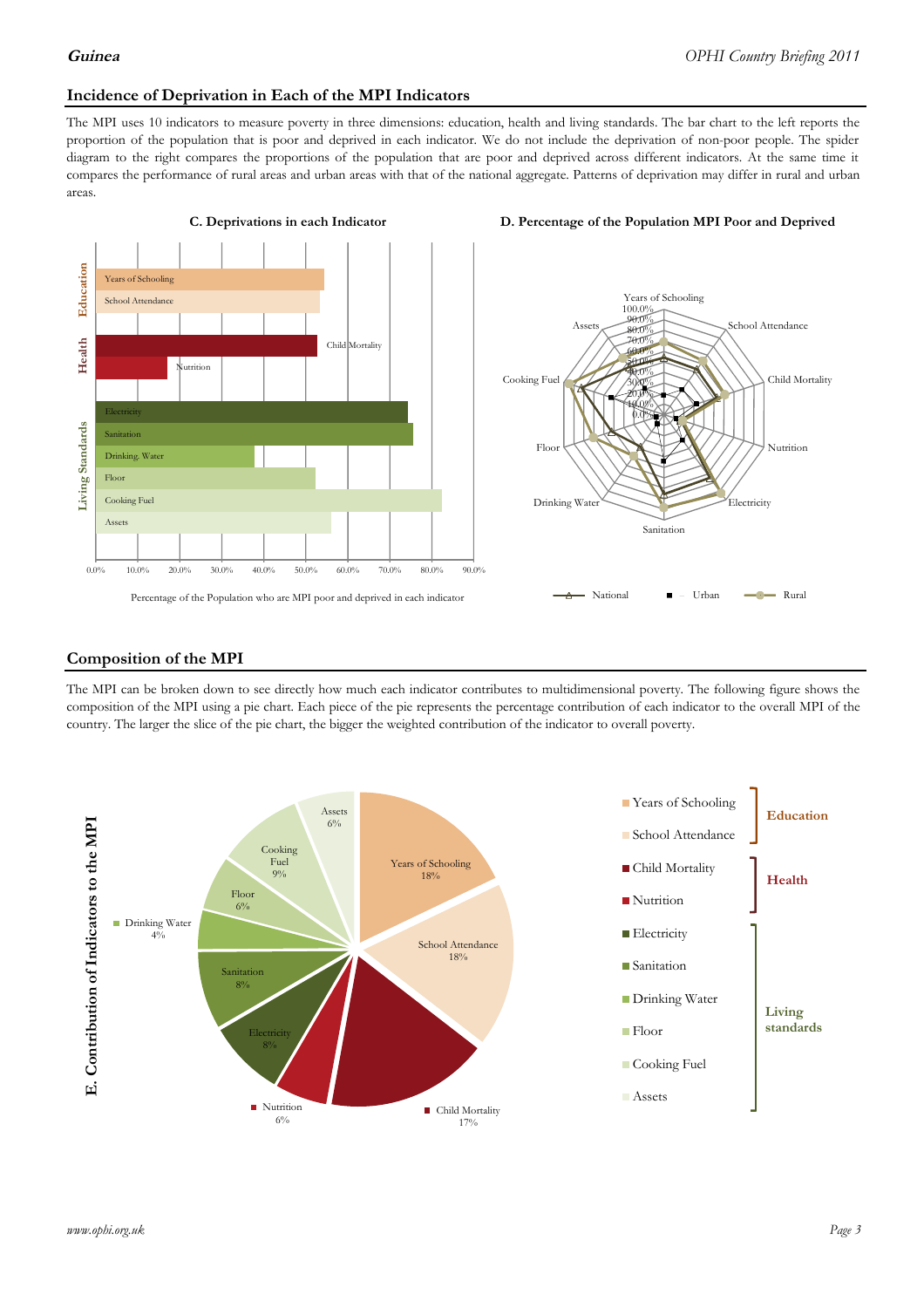# **Incidence of Deprivation in Each of the MPI Indicators**

The MPI uses 10 indicators to measure poverty in three dimensions: education, health and living standards. The bar chart to the left reports the proportion of the population that is poor and deprived in each indicator. We do not include the deprivation of non-poor people. The spider diagram to the right compares the proportions of the population that are poor and deprived across different indicators. At the same time it compares the performance of rural areas and urban areas with that of the national aggregate. Patterns of deprivation may differ in rural and urban areas.



#### **C. Deprivations in each Indicator D. Percentage of the Population MPI Poor and Deprived**



### **Composition of the MPI**

The MPI can be broken down to see directly how much each indicator contributes to multidimensional poverty. The following figure shows the composition of the MPI using a pie chart. Each piece of the pie represents the percentage contribution of each indicator to the overall MPI of the country. The larger the slice of the pie chart, the bigger the weighted contribution of the indicator to overall poverty.

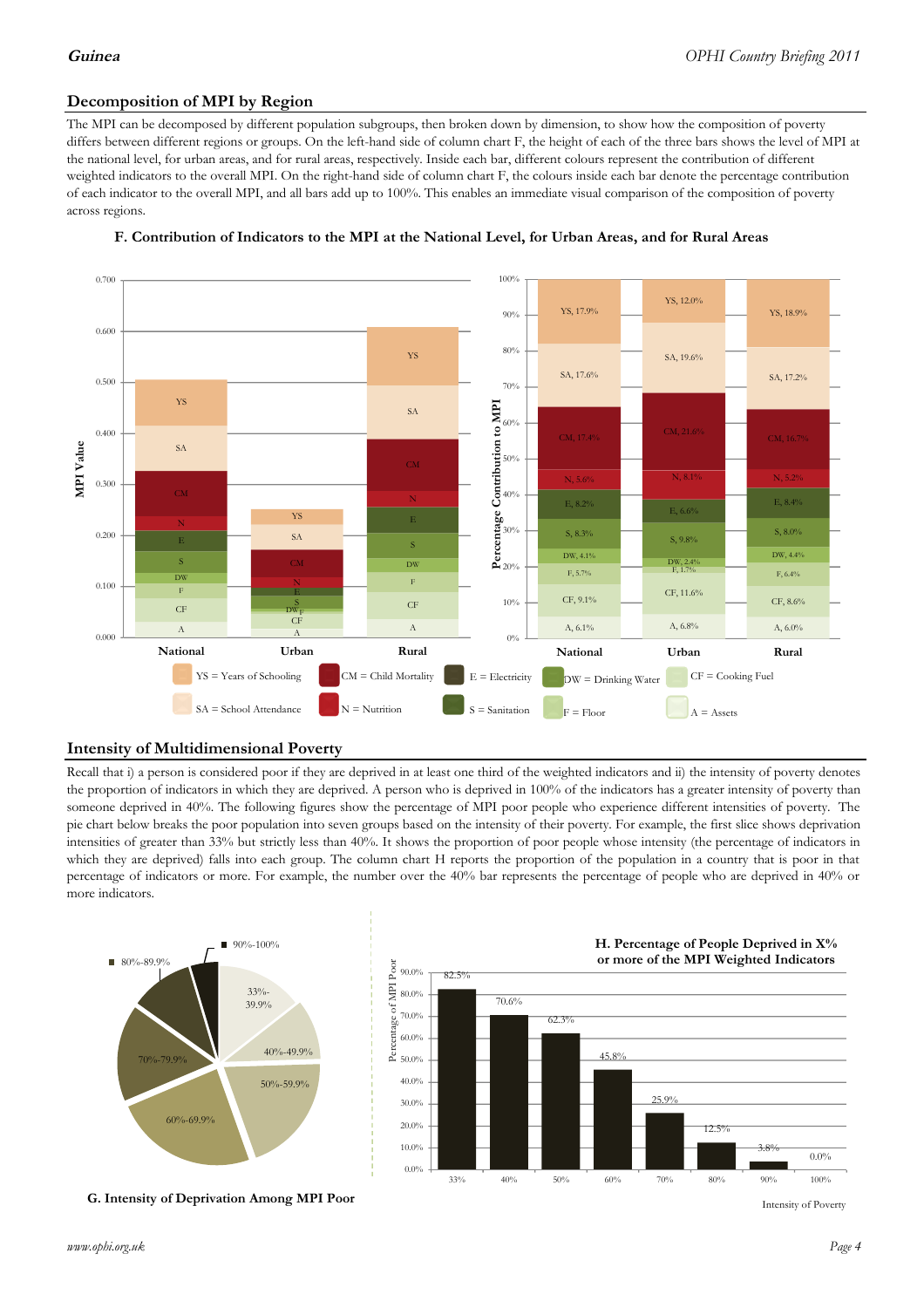# **Decomposition of MPI by Region**

The MPI can be decomposed by different population subgroups, then broken down by dimension, to show how the composition of poverty differs between different regions or groups. On the left-hand side of column chart F, the height of each of the three bars shows the level of MPI at the national level, for urban areas, and for rural areas, respectively. Inside each bar, different colours represent the contribution of different weighted indicators to the overall MPI. On the right-hand side of column chart F, the colours inside each bar denote the percentage contribution of each indicator to the overall MPI, and all bars add up to 100%. This enables an immediate visual comparison of the composition of poverty across regions.



### **F. Contribution of Indicators to the MPI at the National Level, for Urban Areas, and for Rural Areas**

# **Intensity of Multidimensional Poverty**

Recall that i) a person is considered poor if they are deprived in at least one third of the weighted indicators and ii) the intensity of poverty denotes the proportion of indicators in which they are deprived. A person who is deprived in 100% of the indicators has a greater intensity of poverty than someone deprived in 40%. The following figures show the percentage of MPI poor people who experience different intensities of poverty. The pie chart below breaks the poor population into seven groups based on the intensity of their poverty. For example, the first slice shows deprivation intensities of greater than 33% but strictly less than 40%. It shows the proportion of poor people whose intensity (the percentage of indicators in which they are deprived) falls into each group. The column chart H reports the proportion of the population in a country that is poor in that percentage of indicators or more. For example, the number over the 40% bar represents the percentage of people who are deprived in 40% or more indicators.



**G. Intensity of Deprivation Among MPI Poor**



Intensity of Poverty